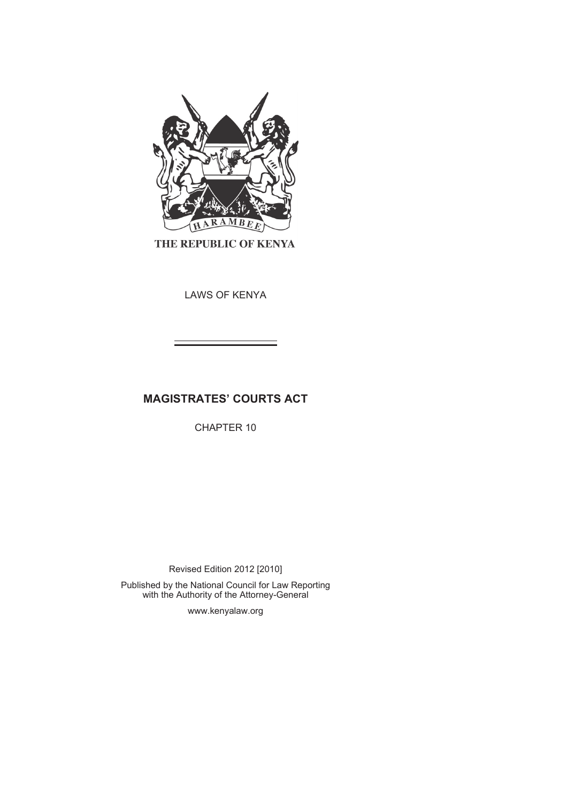

THE REPUBLIC OF KENYA

LAWS OF KENYA

# **MAGISTRATES' COURTS ACT**

CHAPTER 10

Revised Edition 2012 [2010]

Published by the National Council for Law Reporting with the Authority of the Attorney-General

www.kenyalaw.org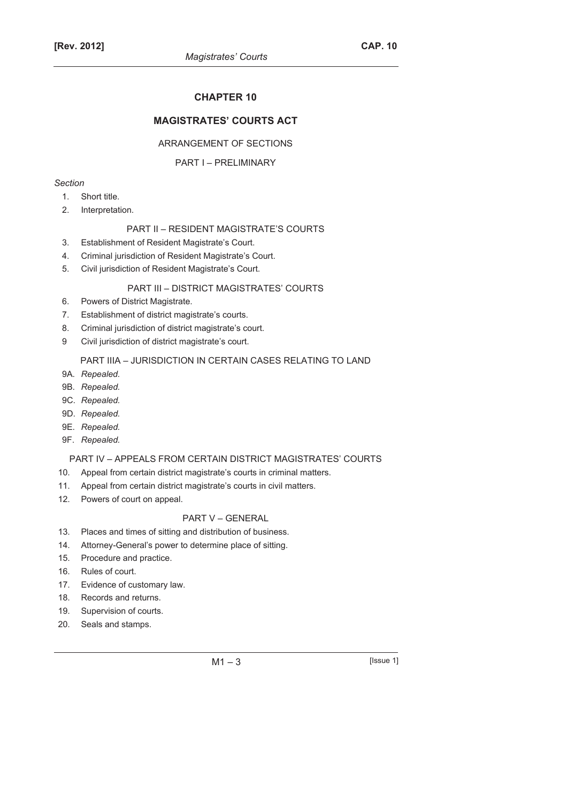## **CHAPTER 10**

## **MAGISTRATES' COURTS ACT**

#### ARRANGEMENT OF SECTIONS

#### PART I – PRELIMINARY

## *Section*

- 1. Short title.
- 2. Interpretation.

#### PART II – RESIDENT MAGISTRATE'S COURTS

- 3. Establishment of Resident Magistrate's Court.
- 4. Criminal jurisdiction of Resident Magistrate's Court.
- 5. Civil jurisdiction of Resident Magistrate's Court.

## PART III – DISTRICT MAGISTRATES' COURTS

- 6. Powers of District Magistrate.
- 7. Establishment of district magistrate's courts.
- 8. Criminal jurisdiction of district magistrate's court.
- 9 Civil jurisdiction of district magistrate's court.

#### PART IIIA – JURISDICTION IN CERTAIN CASES RELATING TO LAND

- 9A. *Repealed.*
- 9B. *Repealed.*
- 9C. *Repealed.*
- 9D. *Repealed.*
- 9E. *Repealed.*
- 9F. *Repealed.*

#### PART IV – APPEALS FROM CERTAIN DISTRICT MAGISTRATES' COURTS

- 10. Appeal from certain district magistrate's courts in criminal matters.
- 11. Appeal from certain district magistrate's courts in civil matters.
- 12. Powers of court on appeal.

#### PART V – GENERAL

- 13. Places and times of sitting and distribution of business.
- 14. Attorney-General's power to determine place of sitting.
- 15. Procedure and practice.
- 16. Rules of court.
- 17. Evidence of customary law.
- 18. Records and returns.
- 19. Supervision of courts.
- 20. Seals and stamps.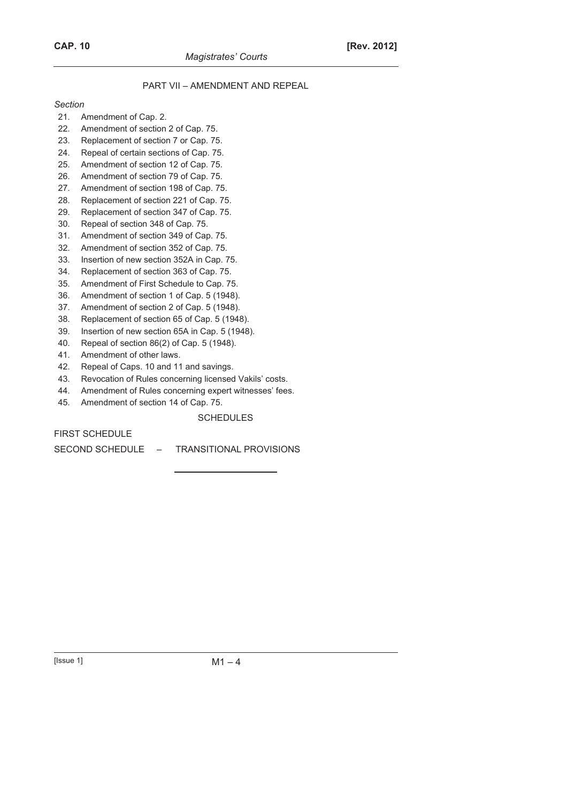## PART VII – AMENDMENT AND REPEAL

#### *Section*

- 21. Amendment of Cap. 2.
- 22. Amendment of section 2 of Cap. 75.
- 23. Replacement of section 7 or Cap. 75.
- 24. Repeal of certain sections of Cap. 75.
- 25. Amendment of section 12 of Cap. 75.
- 26. Amendment of section 79 of Cap. 75.
- 27. Amendment of section 198 of Cap. 75.
- 28. Replacement of section 221 of Cap. 75.
- 29. Replacement of section 347 of Cap. 75.
- 30. Repeal of section 348 of Cap. 75.
- 31. Amendment of section 349 of Cap. 75.
- 32. Amendment of section 352 of Cap. 75.
- 33. Insertion of new section 352A in Cap. 75.
- 34. Replacement of section 363 of Cap. 75.
- 35. Amendment of First Schedule to Cap. 75.
- 36. Amendment of section 1 of Cap. 5 (1948).
- 37. Amendment of section 2 of Cap. 5 (1948).
- 38. Replacement of section 65 of Cap. 5 (1948).
- 39. Insertion of new section 65A in Cap. 5 (1948).
- 40. Repeal of section 86(2) of Cap. 5 (1948).
- 41. Amendment of other laws.
- 42. Repeal of Caps. 10 and 11 and savings.
- 43. Revocation of Rules concerning licensed Vakils' costs.
- 44. Amendment of Rules concerning expert witnesses' fees.
- 45. Amendment of section 14 of Cap. 75.

## **SCHEDULES**

FIRST SCHEDULE

SECOND SCHEDULE – TRANSITIONAL PROVISIONS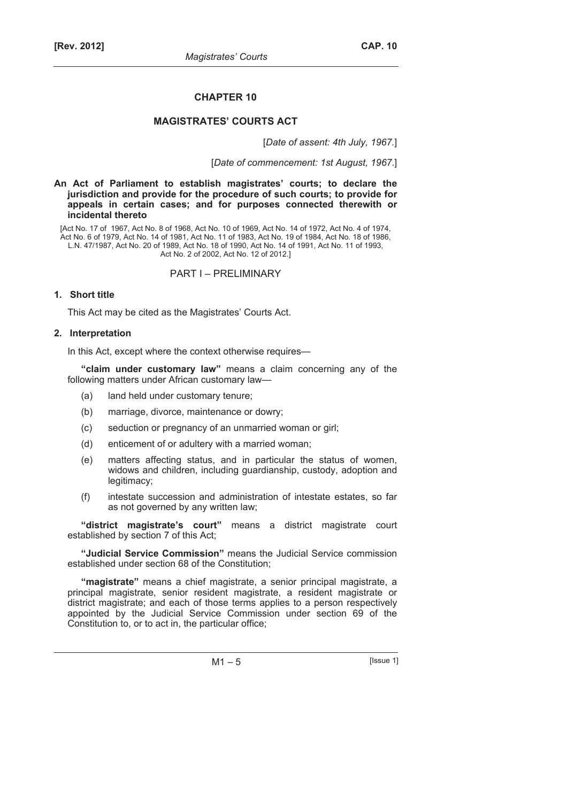## **CHAPTER 10**

## **MAGISTRATES' COURTS ACT**

[*Date of assent: 4th July, 1967.*]

[*Date of commencement: 1st August, 1967*.]

**An Act of Parliament to establish magistrates' courts; to declare the jurisdiction and provide for the procedure of such courts; to provide for appeals in certain cases; and for purposes connected therewith or incidental thereto** 

[Act No. 17 of 1967, Act No. 8 of 1968, Act No. 10 of 1969, Act No. 14 of 1972, Act No. 4 of 1974, Act No. 6 of 1979, Act No. 14 of 1981, Act No. 11 of 1983, Act No. 19 of 1984, Act No. 18 of 1986, L.N. 47/1987, Act No. 20 of 1989, Act No. 18 of 1990, Act No. 14 of 1991, Act No. 11 of 1993, Act No. 2 of 2002, Act No. 12 of 2012.]

PART I – PRELIMINARY

#### **1. Short title**

This Act may be cited as the Magistrates' Courts Act.

#### **2. Interpretation**

In this Act, except where the context otherwise requires—

**"claim under customary law"** means a claim concerning any of the following matters under African customary law—

- (a) land held under customary tenure;
- (b) marriage, divorce, maintenance or dowry;
- (c) seduction or pregnancy of an unmarried woman or girl;
- (d) enticement of or adultery with a married woman;
- (e) matters affecting status, and in particular the status of women, widows and children, including guardianship, custody, adoption and legitimacy;
- (f) intestate succession and administration of intestate estates, so far as not governed by any written law;

**"district magistrate's court"** means a district magistrate court established by section 7 of this Act;

**"Judicial Service Commission"** means the Judicial Service commission established under section 68 of the Constitution;

**"magistrate"** means a chief magistrate, a senior principal magistrate, a principal magistrate, senior resident magistrate, a resident magistrate or district magistrate; and each of those terms applies to a person respectively appointed by the Judicial Service Commission under section 69 of the Constitution to, or to act in, the particular office;

 $M1 - 5$  [Issue 1]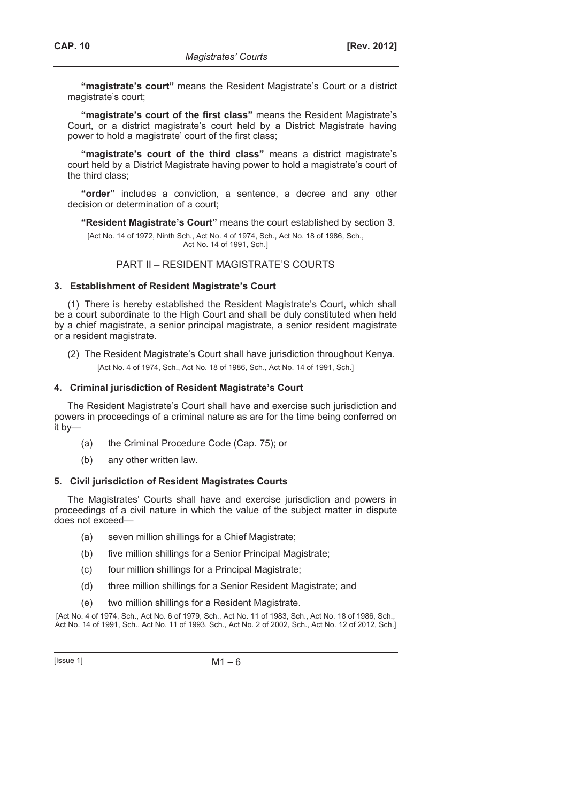**"magistrate's court"** means the Resident Magistrate's Court or a district magistrate's court;

**"magistrate's court of the first class"** means the Resident Magistrate's Court, or a district magistrate's court held by a District Magistrate having power to hold a magistrate' court of the first class;

**"magistrate's court of the third class"** means a district magistrate's court held by a District Magistrate having power to hold a magistrate's court of the third class;

**"order"** includes a conviction, a sentence, a decree and any other decision or determination of a court;

**"Resident Magistrate's Court"** means the court established by section 3.

[Act No. 14 of 1972, Ninth Sch., Act No. 4 of 1974, Sch., Act No. 18 of 1986, Sch., Act No. 14 of 1991, Sch.]

PART II – RESIDENT MAGISTRATE'S COURTS

#### **3. Establishment of Resident Magistrate's Court**

(1) There is hereby established the Resident Magistrate's Court, which shall be a court subordinate to the High Court and shall be duly constituted when held by a chief magistrate, a senior principal magistrate, a senior resident magistrate or a resident magistrate.

(2) The Resident Magistrate's Court shall have jurisdiction throughout Kenya. [Act No. 4 of 1974, Sch., Act No. 18 of 1986, Sch., Act No. 14 of 1991, Sch.]

#### **4. Criminal jurisdiction of Resident Magistrate's Court**

The Resident Magistrate's Court shall have and exercise such jurisdiction and powers in proceedings of a criminal nature as are for the time being conferred on it by—

- (a) the Criminal Procedure Code (Cap. 75); or
- (b) any other written law.

#### **5. Civil jurisdiction of Resident Magistrates Courts**

The Magistrates' Courts shall have and exercise jurisdiction and powers in proceedings of a civil nature in which the value of the subject matter in dispute does not exceed—

- (a) seven million shillings for a Chief Magistrate;
- (b) five million shillings for a Senior Principal Magistrate;
- (c) four million shillings for a Principal Magistrate;
- (d) three million shillings for a Senior Resident Magistrate; and
- (e) two million shillings for a Resident Magistrate.

[Act No. 4 of 1974, Sch., Act No. 6 of 1979, Sch., Act No. 11 of 1983, Sch., Act No. 18 of 1986, Sch., Act No. 14 of 1991, Sch., Act No. 11 of 1993, Sch., Act No. 2 of 2002, Sch., Act No. 12 of 2012, Sch.]

 $[|$ Ssue 1 $]$  M1 – 6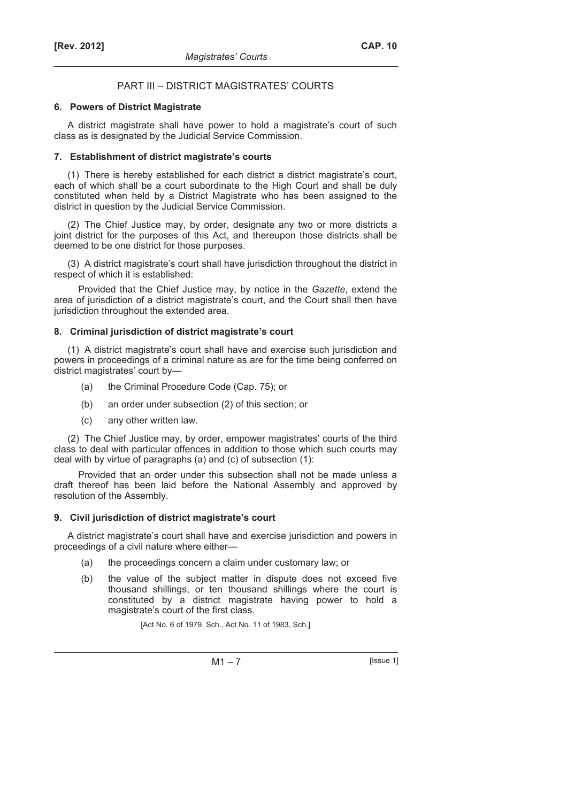## PART III – DISTRICT MAGISTRATES' COURTS

## **6. Powers of District Magistrate**

A district magistrate shall have power to hold a magistrate's court of such class as is designated by the Judicial Service Commission.

## **7. Establishment of district magistrate's courts**

(1) There is hereby established for each district a district magistrate's court, each of which shall be a court subordinate to the High Court and shall be duly constituted when held by a District Magistrate who has been assigned to the district in question by the Judicial Service Commission.

(2) The Chief Justice may, by order, designate any two or more districts a joint district for the purposes of this Act, and thereupon those districts shall be deemed to be one district for those purposes.

(3) A district magistrate's court shall have jurisdiction throughout the district in respect of which it is established:

Provided that the Chief Justice may, by notice in the *Gazette*, extend the area of jurisdiction of a district magistrate's court, and the Court shall then have jurisdiction throughout the extended area.

## **8. Criminal jurisdiction of district magistrate's court**

(1) A district magistrate's court shall have and exercise such jurisdiction and powers in proceedings of a criminal nature as are for the time being conferred on district magistrates' court by—

- (a) the Criminal Procedure Code (Cap. 75); or
- (b) an order under subsection (2) of this section; or
- (c) any other written law.

(2) The Chief Justice may, by order, empower magistrates' courts of the third class to deal with particular offences in addition to those which such courts may deal with by virtue of paragraphs (a) and (c) of subsection (1):

Provided that an order under this subsection shall not be made unless a draft thereof has been laid before the National Assembly and approved by resolution of the Assembly.

## **9. Civil jurisdiction of district magistrate's court**

A district magistrate's court shall have and exercise jurisdiction and powers in proceedings of a civil nature where either—

- (a) the proceedings concern a claim under customary law; or
- (b) the value of the subject matter in dispute does not exceed five thousand shillings, or ten thousand shillings where the court is constituted by a district magistrate having power to hold a magistrate's court of the first class.

[Act No. 6 of 1979, Sch., Act No. 11 of 1983, Sch.]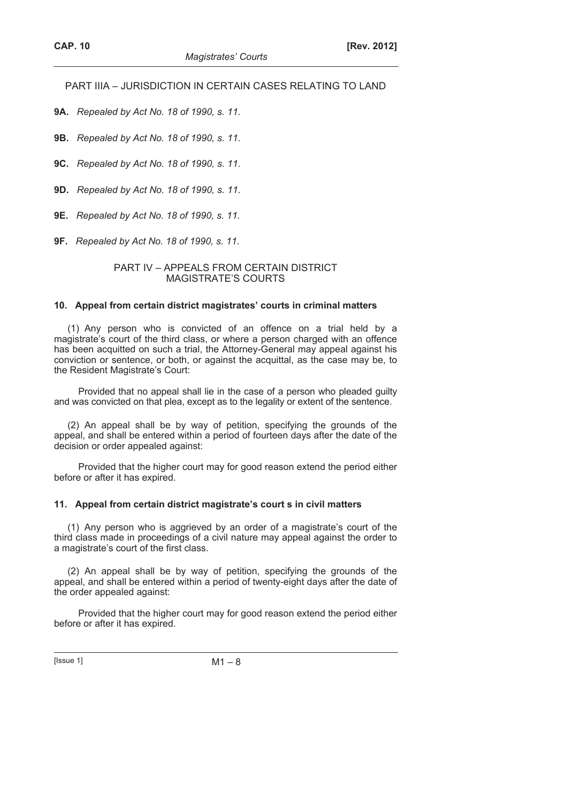PART IIIA – JURISDICTION IN CERTAIN CASES RELATING TO LAND

**9A.** *Repealed by Act No. 18 of 1990, s. 11*.

**9B.** *Repealed by Act No. 18 of 1990, s. 11*.

**9C.** *Repealed by Act No. 18 of 1990, s. 11*.

**9D.** *Repealed by Act No. 18 of 1990, s. 11*.

**9E.** *Repealed by Act No. 18 of 1990, s. 11*.

**9F.** *Repealed by Act No. 18 of 1990, s. 11*.

#### PART IV – APPEALS FROM CERTAIN DISTRICT MAGISTRATE'S COURTS

#### **10. Appeal from certain district magistrates' courts in criminal matters**

(1) Any person who is convicted of an offence on a trial held by a magistrate's court of the third class, or where a person charged with an offence has been acquitted on such a trial, the Attorney-General may appeal against his conviction or sentence, or both, or against the acquittal, as the case may be, to the Resident Magistrate's Court:

Provided that no appeal shall lie in the case of a person who pleaded guilty and was convicted on that plea, except as to the legality or extent of the sentence.

(2) An appeal shall be by way of petition, specifying the grounds of the appeal, and shall be entered within a period of fourteen days after the date of the decision or order appealed against:

Provided that the higher court may for good reason extend the period either before or after it has expired.

#### **11. Appeal from certain district magistrate's court s in civil matters**

(1) Any person who is aggrieved by an order of a magistrate's court of the third class made in proceedings of a civil nature may appeal against the order to a magistrate's court of the first class.

(2) An appeal shall be by way of petition, specifying the grounds of the appeal, and shall be entered within a period of twenty-eight days after the date of the order appealed against:

Provided that the higher court may for good reason extend the period either before or after it has expired.

 $[|$ Ssue 1 $]$  M1 – 8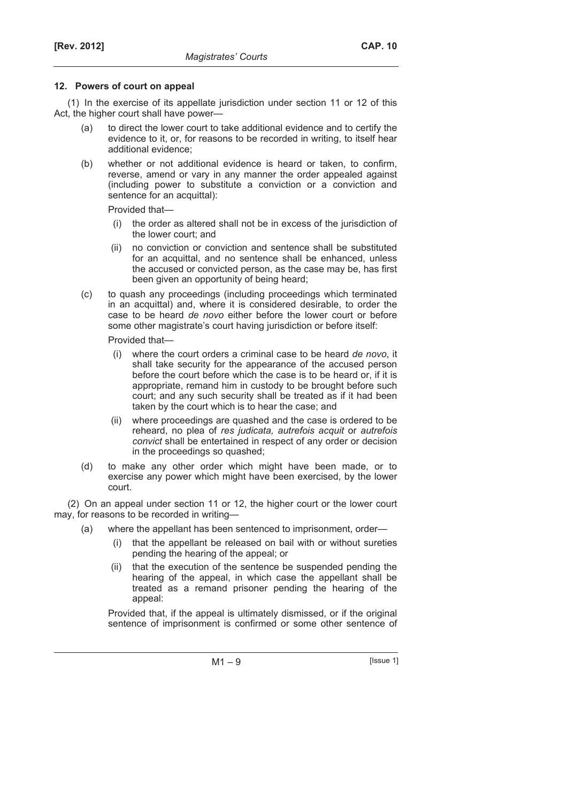#### **12. Powers of court on appeal**

(1) In the exercise of its appellate jurisdiction under section 11 or 12 of this Act, the higher court shall have power—

- (a) to direct the lower court to take additional evidence and to certify the evidence to it, or, for reasons to be recorded in writing, to itself hear additional evidence;
- (b) whether or not additional evidence is heard or taken, to confirm, reverse, amend or vary in any manner the order appealed against (including power to substitute a conviction or a conviction and sentence for an acquittal):

Provided that—

- (i) the order as altered shall not be in excess of the jurisdiction of the lower court; and
- (ii) no conviction or conviction and sentence shall be substituted for an acquittal, and no sentence shall be enhanced, unless the accused or convicted person, as the case may be, has first been given an opportunity of being heard;
- (c) to quash any proceedings (including proceedings which terminated in an acquittal) and, where it is considered desirable, to order the case to be heard *de novo* either before the lower court or before some other magistrate's court having jurisdiction or before itself:

Provided that—

- (i) where the court orders a criminal case to be heard *de novo*, it shall take security for the appearance of the accused person before the court before which the case is to be heard or, if it is appropriate, remand him in custody to be brought before such court; and any such security shall be treated as if it had been taken by the court which is to hear the case; and
- (ii) where proceedings are quashed and the case is ordered to be reheard, no plea of *res judicata, autrefois acquit* or *autrefois convict* shall be entertained in respect of any order or decision in the proceedings so quashed;
- (d) to make any other order which might have been made, or to exercise any power which might have been exercised, by the lower court.

(2) On an appeal under section 11 or 12, the higher court or the lower court may, for reasons to be recorded in writing—

- (a) where the appellant has been sentenced to imprisonment, order—
	- (i) that the appellant be released on bail with or without sureties pending the hearing of the appeal; or
	- (ii) that the execution of the sentence be suspended pending the hearing of the appeal, in which case the appellant shall be treated as a remand prisoner pending the hearing of the appeal:

Provided that, if the appeal is ultimately dismissed, or if the original sentence of imprisonment is confirmed or some other sentence of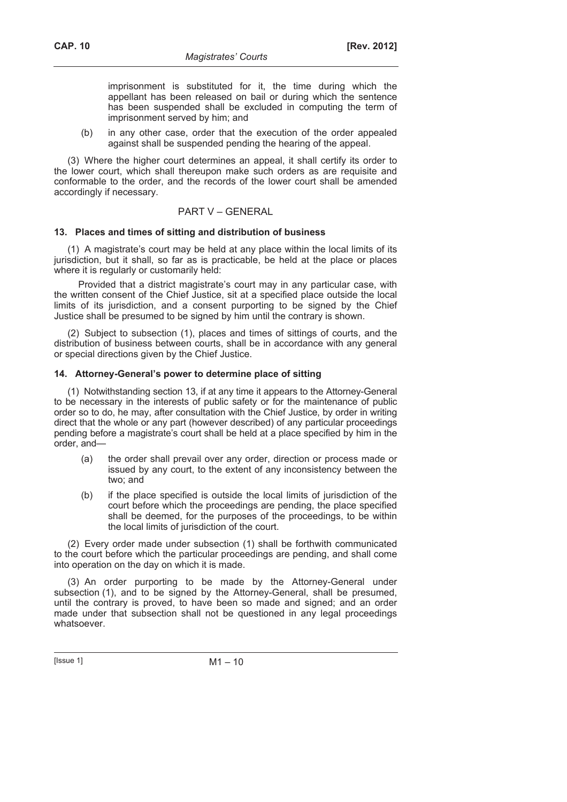imprisonment is substituted for it, the time during which the appellant has been released on bail or during which the sentence has been suspended shall be excluded in computing the term of imprisonment served by him; and

 (b) in any other case, order that the execution of the order appealed against shall be suspended pending the hearing of the appeal.

(3) Where the higher court determines an appeal, it shall certify its order to the lower court, which shall thereupon make such orders as are requisite and conformable to the order, and the records of the lower court shall be amended accordingly if necessary.

## PART V – GENERAL

#### **13. Places and times of sitting and distribution of business**

(1) A magistrate's court may be held at any place within the local limits of its jurisdiction, but it shall, so far as is practicable, be held at the place or places where it is regularly or customarily held:

Provided that a district magistrate's court may in any particular case, with the written consent of the Chief Justice, sit at a specified place outside the local limits of its jurisdiction, and a consent purporting to be signed by the Chief Justice shall be presumed to be signed by him until the contrary is shown.

(2) Subject to subsection (1), places and times of sittings of courts, and the distribution of business between courts, shall be in accordance with any general or special directions given by the Chief Justice.

#### **14. Attorney-General's power to determine place of sitting**

(1) Notwithstanding section 13, if at any time it appears to the Attorney-General to be necessary in the interests of public safety or for the maintenance of public order so to do, he may, after consultation with the Chief Justice, by order in writing direct that the whole or any part (however described) of any particular proceedings pending before a magistrate's court shall be held at a place specified by him in the order, and—

- (a) the order shall prevail over any order, direction or process made or issued by any court, to the extent of any inconsistency between the two; and
- (b) if the place specified is outside the local limits of jurisdiction of the court before which the proceedings are pending, the place specified shall be deemed, for the purposes of the proceedings, to be within the local limits of jurisdiction of the court.

(2) Every order made under subsection (1) shall be forthwith communicated to the court before which the particular proceedings are pending, and shall come into operation on the day on which it is made.

(3) An order purporting to be made by the Attorney-General under subsection (1), and to be signed by the Attorney-General, shall be presumed, until the contrary is proved, to have been so made and signed; and an order made under that subsection shall not be questioned in any legal proceedings whatsoever.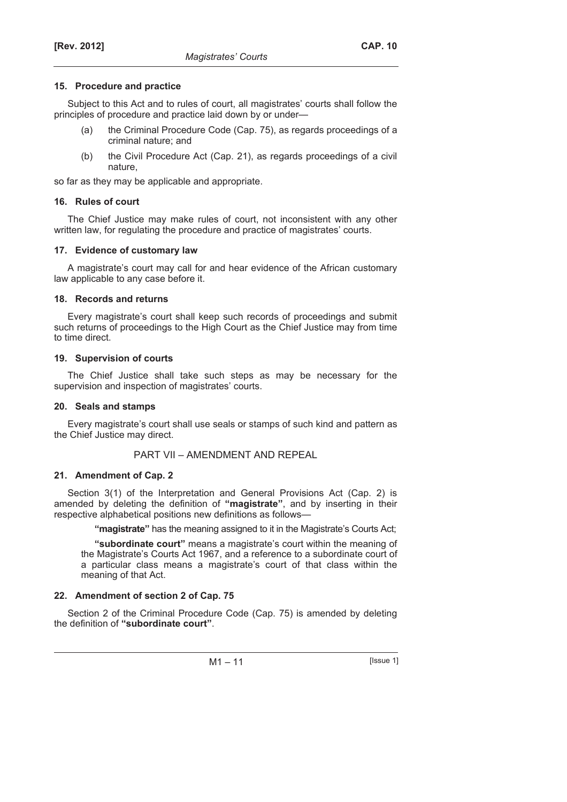## **15. Procedure and practice**

Subject to this Act and to rules of court, all magistrates' courts shall follow the principles of procedure and practice laid down by or under—

- (a) the Criminal Procedure Code (Cap. 75), as regards proceedings of a criminal nature; and
- (b) the Civil Procedure Act (Cap. 21), as regards proceedings of a civil nature,

so far as they may be applicable and appropriate.

## **16. Rules of court**

The Chief Justice may make rules of court, not inconsistent with any other written law, for regulating the procedure and practice of magistrates' courts.

## **17. Evidence of customary law**

A magistrate's court may call for and hear evidence of the African customary law applicable to any case before it.

## **18. Records and returns**

Every magistrate's court shall keep such records of proceedings and submit such returns of proceedings to the High Court as the Chief Justice may from time to time direct.

## **19. Supervision of courts**

The Chief Justice shall take such steps as may be necessary for the supervision and inspection of magistrates' courts.

## **20. Seals and stamps**

Every magistrate's court shall use seals or stamps of such kind and pattern as the Chief Justice may direct.

## PART VII – AMENDMENT AND REPEAL

## **21. Amendment of Cap. 2**

Section 3(1) of the Interpretation and General Provisions Act (Cap. 2) is amended by deleting the definition of **"magistrate"**, and by inserting in their respective alphabetical positions new definitions as follows—

**"magistrate"** has the meaning assigned to it in the Magistrate's Courts Act;

**"subordinate court"** means a magistrate's court within the meaning of the Magistrate's Courts Act 1967, and a reference to a subordinate court of a particular class means a magistrate's court of that class within the meaning of that Act.

## **22. Amendment of section 2 of Cap. 75**

Section 2 of the Criminal Procedure Code (Cap. 75) is amended by deleting the definition of **"subordinate court"**.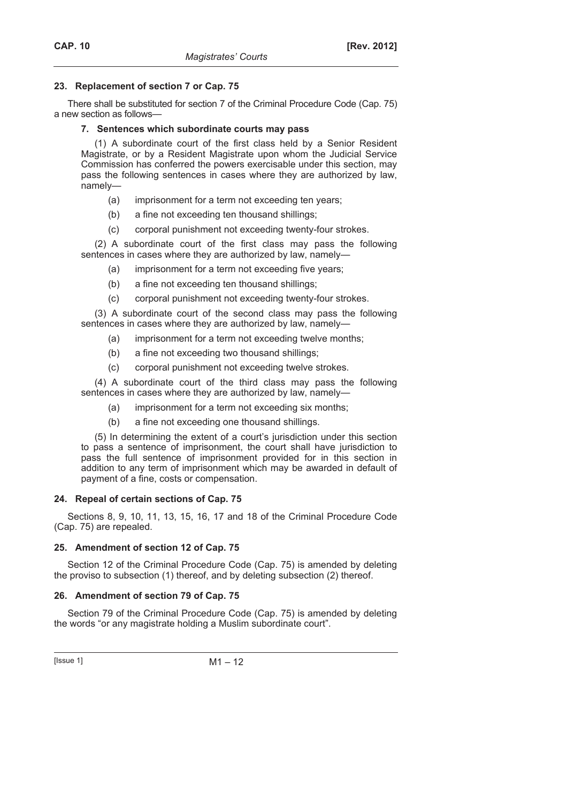## **23. Replacement of section 7 or Cap. 75**

There shall be substituted for section 7 of the Criminal Procedure Code (Cap. 75) a new section as follows—

## **7. Sentences which subordinate courts may pass**

(1) A subordinate court of the first class held by a Senior Resident Magistrate, or by a Resident Magistrate upon whom the Judicial Service Commission has conferred the powers exercisable under this section, may pass the following sentences in cases where they are authorized by law, namely—

- (a) imprisonment for a term not exceeding ten years;
- (b) a fine not exceeding ten thousand shillings;
- (c) corporal punishment not exceeding twenty-four strokes.

(2) A subordinate court of the first class may pass the following sentences in cases where they are authorized by law, namely—

- (a) imprisonment for a term not exceeding five years;
- (b) a fine not exceeding ten thousand shillings;
- (c) corporal punishment not exceeding twenty-four strokes.

(3) A subordinate court of the second class may pass the following sentences in cases where they are authorized by law, namely—

- (a) imprisonment for a term not exceeding twelve months;
- (b) a fine not exceeding two thousand shillings;
- (c) corporal punishment not exceeding twelve strokes.

(4) A subordinate court of the third class may pass the following sentences in cases where they are authorized by law, namely—

- (a) imprisonment for a term not exceeding six months;
- (b) a fine not exceeding one thousand shillings.

(5) In determining the extent of a court's jurisdiction under this section to pass a sentence of imprisonment, the court shall have jurisdiction to pass the full sentence of imprisonment provided for in this section in addition to any term of imprisonment which may be awarded in default of payment of a fine, costs or compensation.

#### **24. Repeal of certain sections of Cap. 75**

Sections 8, 9, 10, 11, 13, 15, 16, 17 and 18 of the Criminal Procedure Code (Cap. 75) are repealed.

## **25. Amendment of section 12 of Cap. 75**

Section 12 of the Criminal Procedure Code (Cap. 75) is amended by deleting the proviso to subsection (1) thereof, and by deleting subsection (2) thereof.

## **26. Amendment of section 79 of Cap. 75**

Section 79 of the Criminal Procedure Code (Cap. 75) is amended by deleting the words "or any magistrate holding a Muslim subordinate court".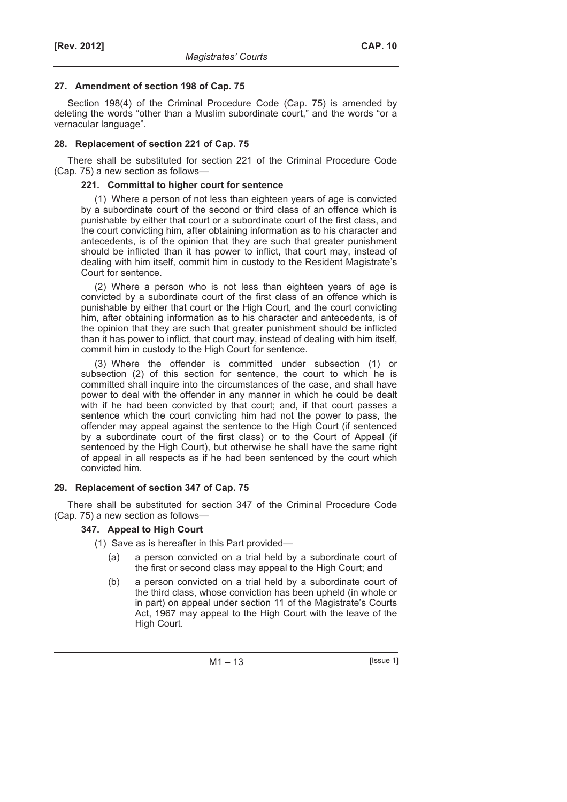#### **27. Amendment of section 198 of Cap. 75**

Section 198(4) of the Criminal Procedure Code (Cap. 75) is amended by deleting the words "other than a Muslim subordinate court," and the words "or a vernacular language".

## **28. Replacement of section 221 of Cap. 75**

There shall be substituted for section 221 of the Criminal Procedure Code (Cap. 75) a new section as follows—

## **221. Committal to higher court for sentence**

(1) Where a person of not less than eighteen years of age is convicted by a subordinate court of the second or third class of an offence which is punishable by either that court or a subordinate court of the first class, and the court convicting him, after obtaining information as to his character and antecedents, is of the opinion that they are such that greater punishment should be inflicted than it has power to inflict, that court may, instead of dealing with him itself, commit him in custody to the Resident Magistrate's Court for sentence.

(2) Where a person who is not less than eighteen years of age is convicted by a subordinate court of the first class of an offence which is punishable by either that court or the High Court, and the court convicting him, after obtaining information as to his character and antecedents, is of the opinion that they are such that greater punishment should be inflicted than it has power to inflict, that court may, instead of dealing with him itself, commit him in custody to the High Court for sentence.

(3) Where the offender is committed under subsection (1) or subsection (2) of this section for sentence, the court to which he is committed shall inquire into the circumstances of the case, and shall have power to deal with the offender in any manner in which he could be dealt with if he had been convicted by that court; and, if that court passes a sentence which the court convicting him had not the power to pass, the offender may appeal against the sentence to the High Court (if sentenced by a subordinate court of the first class) or to the Court of Appeal (if sentenced by the High Court), but otherwise he shall have the same right of appeal in all respects as if he had been sentenced by the court which convicted him.

## **29. Replacement of section 347 of Cap. 75**

There shall be substituted for section 347 of the Criminal Procedure Code (Cap. 75) a new section as follows—

## **347. Appeal to High Court**

- (1) Save as is hereafter in this Part provided—
	- (a) a person convicted on a trial held by a subordinate court of the first or second class may appeal to the High Court; and
	- (b) a person convicted on a trial held by a subordinate court of the third class, whose conviction has been upheld (in whole or in part) on appeal under section 11 of the Magistrate's Courts Act, 1967 may appeal to the High Court with the leave of the High Court.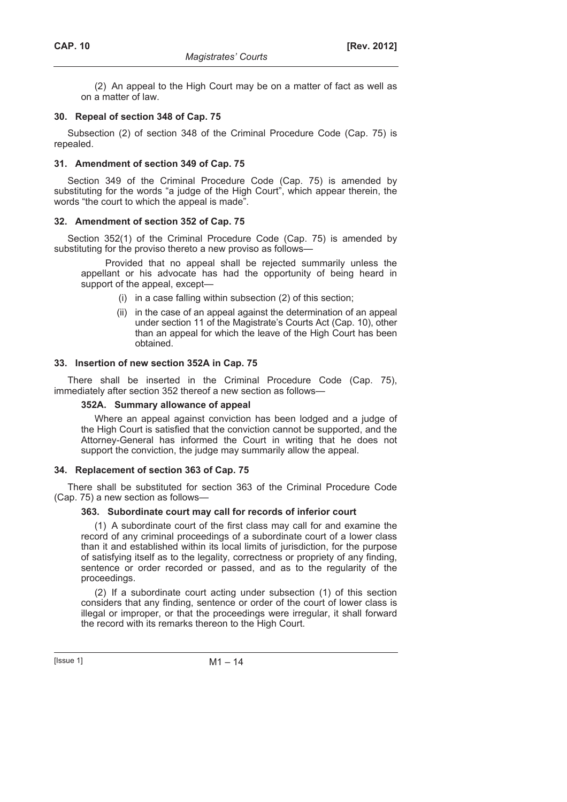(2) An appeal to the High Court may be on a matter of fact as well as on a matter of law.

## **30. Repeal of section 348 of Cap. 75**

Subsection (2) of section 348 of the Criminal Procedure Code (Cap. 75) is repealed.

## **31. Amendment of section 349 of Cap. 75**

Section 349 of the Criminal Procedure Code (Cap. 75) is amended by substituting for the words "a judge of the High Court", which appear therein, the words "the court to which the appeal is made".

## **32. Amendment of section 352 of Cap. 75**

Section 352(1) of the Criminal Procedure Code (Cap. 75) is amended by substituting for the proviso thereto a new proviso as follows—

Provided that no appeal shall be rejected summarily unless the appellant or his advocate has had the opportunity of being heard in support of the appeal, except—

- (i) in a case falling within subsection (2) of this section;
- (ii) in the case of an appeal against the determination of an appeal under section 11 of the Magistrate's Courts Act (Cap. 10), other than an appeal for which the leave of the High Court has been obtained.

## **33. Insertion of new section 352A in Cap. 75**

There shall be inserted in the Criminal Procedure Code (Cap. 75), immediately after section 352 thereof a new section as follows—

## **352A. Summary allowance of appeal**

Where an appeal against conviction has been lodged and a judge of the High Court is satisfied that the conviction cannot be supported, and the Attorney-General has informed the Court in writing that he does not support the conviction, the judge may summarily allow the appeal.

#### **34. Replacement of section 363 of Cap. 75**

There shall be substituted for section 363 of the Criminal Procedure Code (Cap. 75) a new section as follows—

#### **363. Subordinate court may call for records of inferior court**

(1) A subordinate court of the first class may call for and examine the record of any criminal proceedings of a subordinate court of a lower class than it and established within its local limits of jurisdiction, for the purpose of satisfying itself as to the legality, correctness or propriety of any finding, sentence or order recorded or passed, and as to the regularity of the proceedings.

(2) If a subordinate court acting under subsection (1) of this section considers that any finding, sentence or order of the court of lower class is illegal or improper, or that the proceedings were irregular, it shall forward the record with its remarks thereon to the High Court.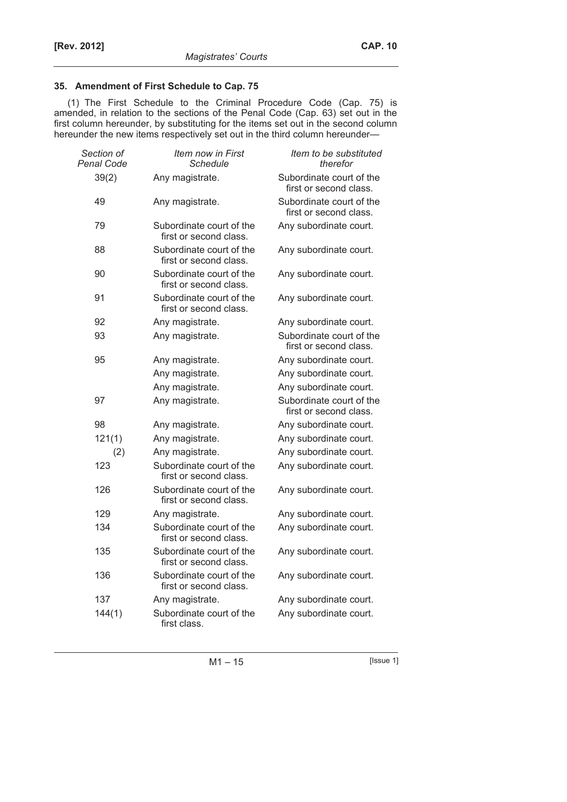## **35. Amendment of First Schedule to Cap. 75**

(1) The First Schedule to the Criminal Procedure Code (Cap. 75) is amended, in relation to the sections of the Penal Code (Cap. 63) set out in the first column hereunder, by substituting for the items set out in the second column hereunder the new items respectively set out in the third column hereunder—

| Section of<br><b>Penal Code</b> | Item now in First<br>Schedule                      | Item to be substituted<br>therefor                 |
|---------------------------------|----------------------------------------------------|----------------------------------------------------|
| 39(2)                           | Any magistrate.                                    | Subordinate court of the<br>first or second class. |
| 49                              | Any magistrate.                                    | Subordinate court of the<br>first or second class. |
| 79                              | Subordinate court of the<br>first or second class. | Any subordinate court.                             |
| 88                              | Subordinate court of the<br>first or second class. | Any subordinate court.                             |
| 90                              | Subordinate court of the<br>first or second class. | Any subordinate court.                             |
| 91                              | Subordinate court of the<br>first or second class. | Any subordinate court.                             |
| 92                              | Any magistrate.                                    | Any subordinate court.                             |
| 93                              | Any magistrate.                                    | Subordinate court of the<br>first or second class. |
| 95                              | Any magistrate.                                    | Any subordinate court.                             |
|                                 | Any magistrate.                                    | Any subordinate court.                             |
|                                 | Any magistrate.                                    | Any subordinate court.                             |
| 97                              | Any magistrate.                                    | Subordinate court of the<br>first or second class. |
| 98                              | Any magistrate.                                    | Any subordinate court.                             |
| 121(1)                          | Any magistrate.                                    | Any subordinate court.                             |
| (2)                             | Any magistrate.                                    | Any subordinate court.                             |
| 123                             | Subordinate court of the<br>first or second class. | Any subordinate court.                             |
| 126                             | Subordinate court of the<br>first or second class. | Any subordinate court.                             |
| 129                             | Any magistrate.                                    | Any subordinate court.                             |
| 134                             | Subordinate court of the<br>first or second class. | Any subordinate court.                             |
| 135                             | Subordinate court of the<br>first or second class. | Any subordinate court.                             |
| 136                             | Subordinate court of the<br>first or second class. | Any subordinate court.                             |
| 137                             | Any magistrate.                                    | Any subordinate court.                             |
| 144(1)                          | Subordinate court of the<br>first class.           | Any subordinate court.                             |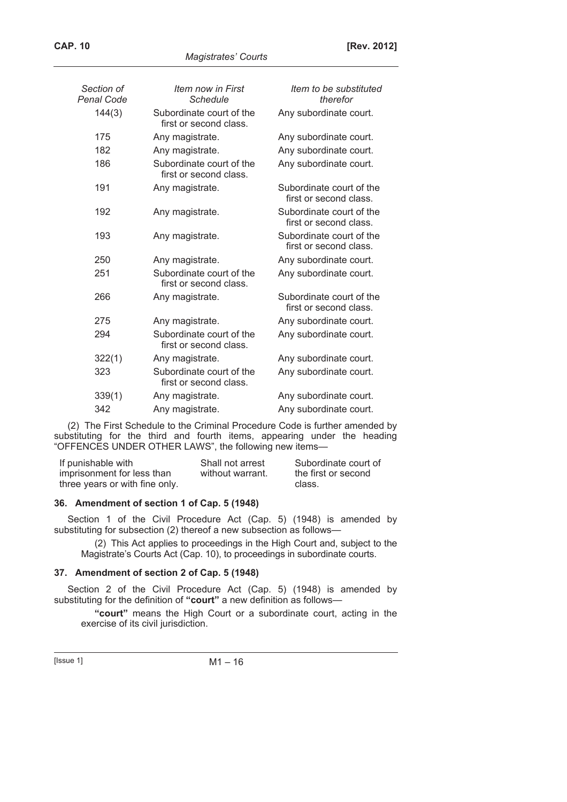*Magistrates' Courts* 

| Section of<br>Penal Code | <i>Item now in First</i><br>Schedule               | Item to be substituted<br>therefor                 |
|--------------------------|----------------------------------------------------|----------------------------------------------------|
| 144(3)                   | Subordinate court of the<br>first or second class. | Any subordinate court.                             |
| 175                      | Any magistrate.                                    | Any subordinate court.                             |
| 182                      | Any magistrate.                                    | Any subordinate court.                             |
| 186                      | Subordinate court of the<br>first or second class. | Any subordinate court.                             |
| 191                      | Any magistrate.                                    | Subordinate court of the<br>first or second class. |
| 192                      | Any magistrate.                                    | Subordinate court of the<br>first or second class. |
| 193                      | Any magistrate.                                    | Subordinate court of the<br>first or second class. |
| 250                      | Any magistrate.                                    | Any subordinate court.                             |
| 251                      | Subordinate court of the<br>first or second class. | Any subordinate court.                             |
| 266                      | Any magistrate.                                    | Subordinate court of the<br>first or second class. |
| 275                      | Any magistrate.                                    | Any subordinate court.                             |
| 294                      | Subordinate court of the<br>first or second class. | Any subordinate court.                             |
| 322(1)                   | Any magistrate.                                    | Any subordinate court.                             |
| 323                      | Subordinate court of the<br>first or second class. | Any subordinate court.                             |
| 339(1)                   | Any magistrate.                                    | Any subordinate court.                             |
| 342                      | Any magistrate.                                    | Any subordinate court.                             |
|                          |                                                    |                                                    |

(2) The First Schedule to the Criminal Procedure Code is further amended by substituting for the third and fourth items, appearing under the heading "OFFENCES UNDER OTHER LAWS", the following new items—

| If punishable with             | Shall not arrest | Subordinate court of |
|--------------------------------|------------------|----------------------|
| imprisonment for less than     | without warrant. | the first or second  |
| three years or with fine only. |                  | class.               |

## **36. Amendment of section 1 of Cap. 5 (1948)**

Section 1 of the Civil Procedure Act (Cap. 5) (1948) is amended by substituting for subsection (2) thereof a new subsection as follows—

(2) This Act applies to proceedings in the High Court and, subject to the Magistrate's Courts Act (Cap. 10), to proceedings in subordinate courts.

## **37. Amendment of section 2 of Cap. 5 (1948)**

Section 2 of the Civil Procedure Act (Cap. 5) (1948) is amended by substituting for the definition of **"court"** a new definition as follows—

**"court"** means the High Court or a subordinate court, acting in the exercise of its civil jurisdiction.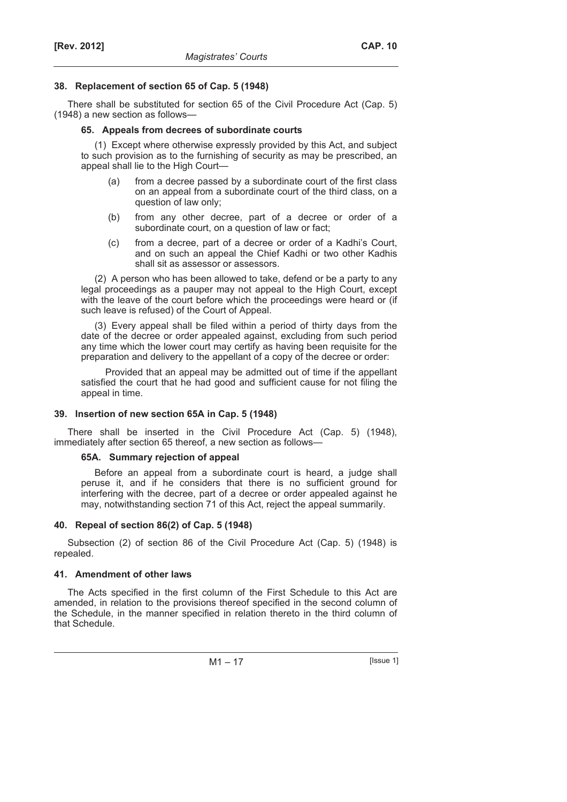## **38. Replacement of section 65 of Cap. 5 (1948)**

There shall be substituted for section 65 of the Civil Procedure Act (Cap. 5) (1948) a new section as follows—

#### **65. Appeals from decrees of subordinate courts**

(1) Except where otherwise expressly provided by this Act, and subject to such provision as to the furnishing of security as may be prescribed, an appeal shall lie to the High Court—

- (a) from a decree passed by a subordinate court of the first class on an appeal from a subordinate court of the third class, on a question of law only;
- (b) from any other decree, part of a decree or order of a subordinate court, on a question of law or fact;
- (c) from a decree, part of a decree or order of a Kadhi's Court, and on such an appeal the Chief Kadhi or two other Kadhis shall sit as assessor or assessors.

(2) A person who has been allowed to take, defend or be a party to any legal proceedings as a pauper may not appeal to the High Court, except with the leave of the court before which the proceedings were heard or (if such leave is refused) of the Court of Appeal.

(3) Every appeal shall be filed within a period of thirty days from the date of the decree or order appealed against, excluding from such period any time which the lower court may certify as having been requisite for the preparation and delivery to the appellant of a copy of the decree or order:

Provided that an appeal may be admitted out of time if the appellant satisfied the court that he had good and sufficient cause for not filing the appeal in time.

## **39. Insertion of new section 65A in Cap. 5 (1948)**

There shall be inserted in the Civil Procedure Act (Cap. 5) (1948), immediately after section 65 thereof, a new section as follows—

## **65A. Summary rejection of appeal**

Before an appeal from a subordinate court is heard, a judge shall peruse it, and if he considers that there is no sufficient ground for interfering with the decree, part of a decree or order appealed against he may, notwithstanding section 71 of this Act, reject the appeal summarily.

## **40. Repeal of section 86(2) of Cap. 5 (1948)**

Subsection (2) of section 86 of the Civil Procedure Act (Cap. 5) (1948) is repealed.

## **41. Amendment of other laws**

The Acts specified in the first column of the First Schedule to this Act are amended, in relation to the provisions thereof specified in the second column of the Schedule, in the manner specified in relation thereto in the third column of that Schedule.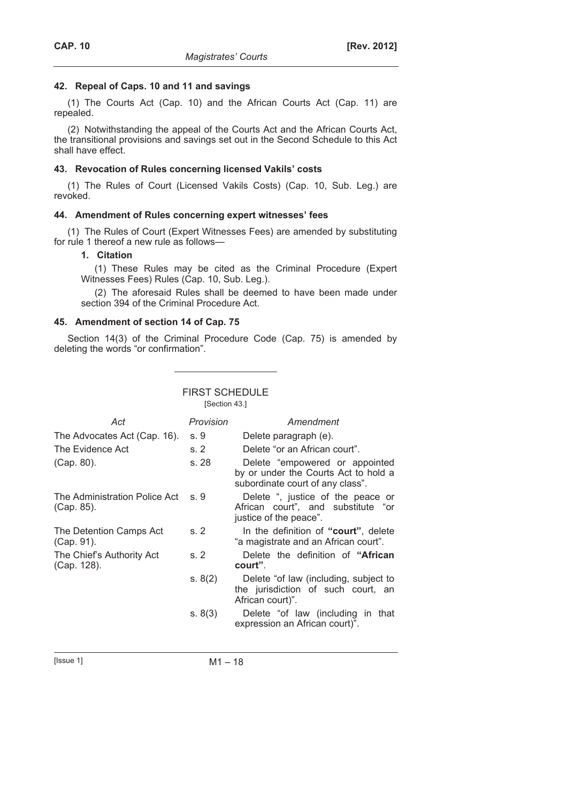## **42. Repeal of Caps. 10 and 11 and savings**

(1) The Courts Act (Cap. 10) and the African Courts Act (Cap. 11) are repealed.

(2) Notwithstanding the appeal of the Courts Act and the African Courts Act, the transitional provisions and savings set out in the Second Schedule to this Act shall have effect.

## **43. Revocation of Rules concerning licensed Vakils' costs**

(1) The Rules of Court (Licensed Vakils Costs) (Cap. 10, Sub. Leg.) are revoked.

## **44. Amendment of Rules concerning expert witnesses' fees**

(1) The Rules of Court (Expert Witnesses Fees) are amended by substituting for rule 1 thereof a new rule as follows—

## **1. Citation**

(1) These Rules may be cited as the Criminal Procedure (Expert Witnesses Fees) Rules (Cap. 10, Sub. Leg.).

(2) The aforesaid Rules shall be deemed to have been made under section 394 of the Criminal Procedure Act.

## **45. Amendment of section 14 of Cap. 75**

Section 14(3) of the Criminal Procedure Code (Cap. 75) is amended by deleting the words "or confirmation".

| <b>FIRST SCHEDULE</b><br>[Section 43.]      |           |                                                                                                             |  |
|---------------------------------------------|-----------|-------------------------------------------------------------------------------------------------------------|--|
| Act                                         | Provision | Amendment                                                                                                   |  |
| The Advocates Act (Cap. 16).                | s.9       | Delete paragraph (e).                                                                                       |  |
| The Evidence Act                            | s.2       | Delete "or an African court".                                                                               |  |
| (Cap. 80).                                  | s. 28     | Delete "empowered or appointed"<br>by or under the Courts Act to hold a<br>subordinate court of any class". |  |
| The Administration Police Act<br>(Cap. 85). | S.9       | Delete ", justice of the peace or<br>African court", and substitute "or<br>justice of the peace".           |  |
| The Detention Camps Act<br>(Cap. 91).       | s.2       | In the definition of "court", delete<br>"a magistrate and an African court".                                |  |
| The Chief's Authority Act<br>(Cap. 128).    | s.2       | Delete the definition of "African"<br>court".                                                               |  |
|                                             | s. 8(2)   | Delete "of law (including, subject to<br>the jurisdiction of such court, an<br>African court)".             |  |
|                                             | s. 8(3)   | Delete "of law (including in that<br>expression an African court)".                                         |  |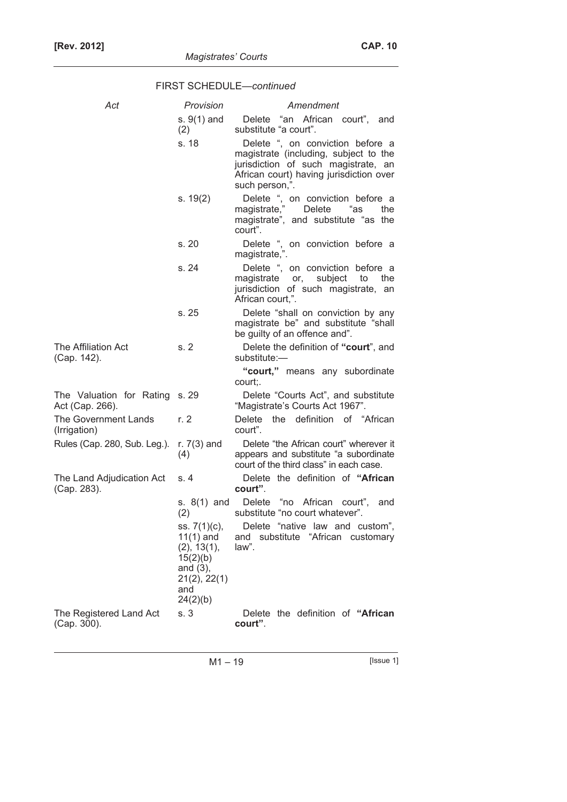| Act                                               | Provision                                                                                                | Amendment                                                                                                                                                                     |  |
|---------------------------------------------------|----------------------------------------------------------------------------------------------------------|-------------------------------------------------------------------------------------------------------------------------------------------------------------------------------|--|
|                                                   | s. $9(1)$ and<br>(2)                                                                                     | Delete "an African court", and<br>substitute "a court".                                                                                                                       |  |
|                                                   | s. 18                                                                                                    | Delete ", on conviction before a<br>magistrate (including, subject to the<br>jurisdiction of such magistrate, an<br>African court) having jurisdiction over<br>such person,". |  |
|                                                   | s. 19(2)                                                                                                 | Delete ", on conviction before a<br>magistrate,"<br>Delete<br>"as<br>the<br>magistrate", and substitute "as the<br>court".                                                    |  |
|                                                   | s.20                                                                                                     | Delete ", on conviction before a<br>magistrate,".                                                                                                                             |  |
|                                                   | s. 24                                                                                                    | Delete ", on conviction before a<br>subject<br>magistrate<br>to<br>the<br>or,<br>jurisdiction of such magistrate, an<br>African court,".                                      |  |
|                                                   | s. 25                                                                                                    | Delete "shall on conviction by any<br>magistrate be" and substitute "shall<br>be guilty of an offence and".                                                                   |  |
| The Affiliation Act<br>(Cap. 142).                | s.2                                                                                                      | Delete the definition of "court", and<br>substitute:-                                                                                                                         |  |
|                                                   |                                                                                                          | "court," means any subordinate<br>court;.                                                                                                                                     |  |
| The Valuation for Rating s. 29<br>Act (Cap. 266). |                                                                                                          | Delete "Courts Act", and substitute<br>"Magistrate's Courts Act 1967".                                                                                                        |  |
| The Government Lands<br>(Irrigation)              | r. $2$                                                                                                   | Delete the definition of "African"<br>court".                                                                                                                                 |  |
| Rules (Cap. 280, Sub. Leg.).                      | r. $7(3)$ and<br>(4)                                                                                     | Delete "the African court" wherever it<br>appears and substitute "a subordinate<br>court of the third class" in each case.                                                    |  |
| The Land Adjudication Act<br>(Cap. 283).          | s. 4                                                                                                     | Delete the definition of "African<br>court".                                                                                                                                  |  |
|                                                   | s. $8(1)$ and<br>(2)                                                                                     | Delete "no African court",<br>and<br>substitute "no court whatever".                                                                                                          |  |
|                                                   | ss. 7(1)(c),<br>$11(1)$ and<br>(2), 13(1),<br>15(2)(b)<br>and $(3)$ ,<br>21(2), 22(1)<br>and<br>24(2)(b) | Delete "native law and custom",<br>and substitute "African customary<br>law".                                                                                                 |  |
| The Registered Land Act<br>(Cap. 300).            | s. 3                                                                                                     | Delete the definition of "African<br>court".                                                                                                                                  |  |

# FIRST SCHEDULE—*continued*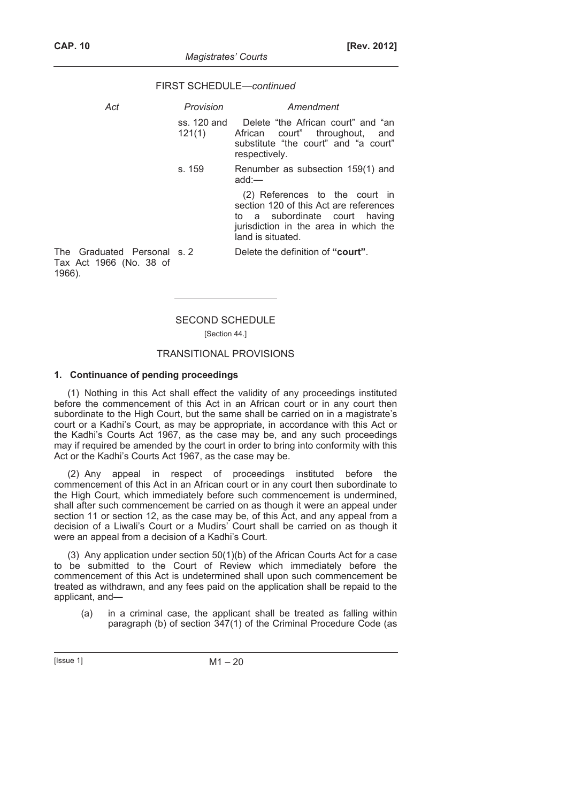FIRST SCHEDULE—*continued*

add:—

#### *Act Provision Amendment*  ss. 120 and 121(1) Delete "the African court" and "an African court" throughout, and substitute "the court" and "a court"

respectively. s. 159 Renumber as subsection 159(1) and

> (2) References to the court in section 120 of this Act are references to a subordinate court having jurisdiction in the area in which the land is situated.

The Graduated Personal s. 2 Tax Act 1966 (No. 38 of 1966).

Delete the definition of "court".

# SECOND SCHEDULE

[Section 44.]

## TRANSITIONAL PROVISIONS

#### **1. Continuance of pending proceedings**

(1) Nothing in this Act shall effect the validity of any proceedings instituted before the commencement of this Act in an African court or in any court then subordinate to the High Court, but the same shall be carried on in a magistrate's court or a Kadhi's Court, as may be appropriate, in accordance with this Act or the Kadhi's Courts Act 1967, as the case may be, and any such proceedings may if required be amended by the court in order to bring into conformity with this Act or the Kadhi's Courts Act 1967, as the case may be.

(2) Any appeal in respect of proceedings instituted before the commencement of this Act in an African court or in any court then subordinate to the High Court, which immediately before such commencement is undermined, shall after such commencement be carried on as though it were an appeal under section 11 or section 12, as the case may be, of this Act, and any appeal from a decision of a Liwali's Court or a Mudirs' Court shall be carried on as though it were an appeal from a decision of a Kadhi's Court.

(3) Any application under section 50(1)(b) of the African Courts Act for a case to be submitted to the Court of Review which immediately before the commencement of this Act is undetermined shall upon such commencement be treated as withdrawn, and any fees paid on the application shall be repaid to the applicant, and—

 (a) in a criminal case, the applicant shall be treated as falling within paragraph (b) of section 347(1) of the Criminal Procedure Code (as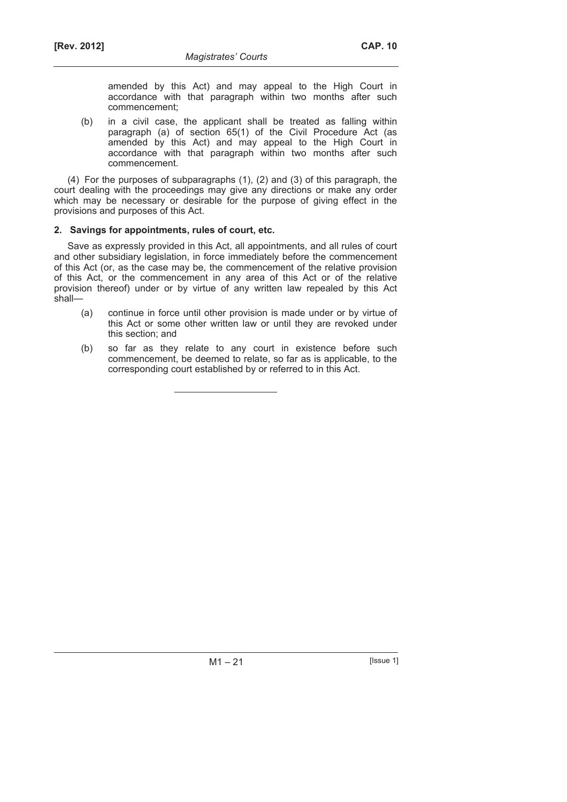amended by this Act) and may appeal to the High Court in accordance with that paragraph within two months after such commencement;

 (b) in a civil case, the applicant shall be treated as falling within paragraph (a) of section 65(1) of the Civil Procedure Act (as amended by this Act) and may appeal to the High Court in accordance with that paragraph within two months after such commencement.

(4) For the purposes of subparagraphs (1), (2) and (3) of this paragraph, the court dealing with the proceedings may give any directions or make any order which may be necessary or desirable for the purpose of giving effect in the provisions and purposes of this Act.

## **2. Savings for appointments, rules of court, etc.**

Save as expressly provided in this Act, all appointments, and all rules of court and other subsidiary legislation, in force immediately before the commencement of this Act (or, as the case may be, the commencement of the relative provision of this Act, or the commencement in any area of this Act or of the relative provision thereof) under or by virtue of any written law repealed by this Act shall—

- (a) continue in force until other provision is made under or by virtue of this Act or some other written law or until they are revoked under this section; and
- (b) so far as they relate to any court in existence before such commencement, be deemed to relate, so far as is applicable, to the corresponding court established by or referred to in this Act.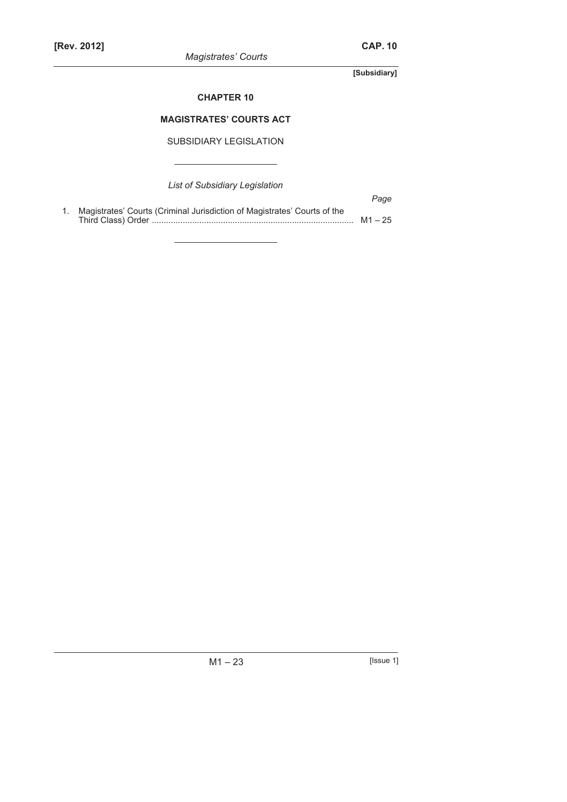*Magistrates' Courts* 

**[Subsidiary]** 

## **CHAPTER 10**

## **MAGISTRATES' COURTS ACT**

SUBSIDIARY LEGISLATION

*List of Subsidiary Legislation* 

|                                                                             | Page |
|-----------------------------------------------------------------------------|------|
| 1. Magistrates' Courts (Criminal Jurisdiction of Magistrates' Courts of the |      |
|                                                                             |      |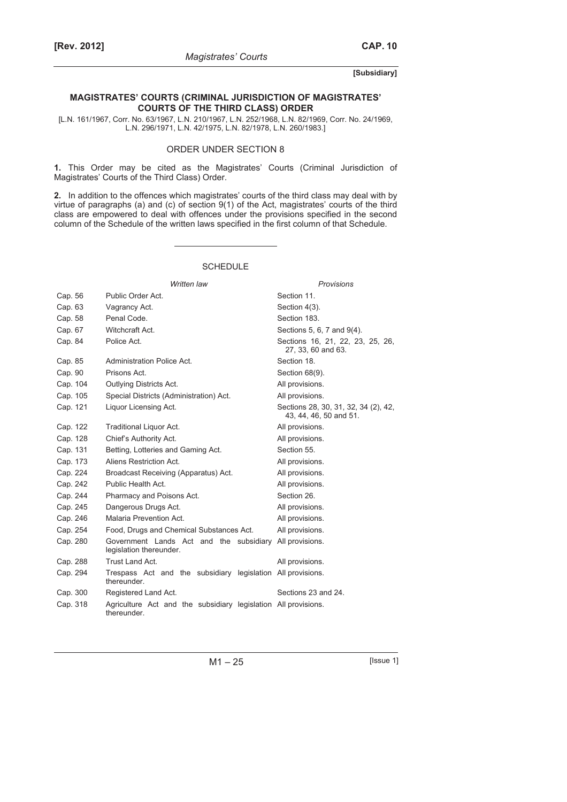#### **[Subsidiary]**

#### **MAGISTRATES' COURTS (CRIMINAL JURISDICTION OF MAGISTRATES' COURTS OF THE THIRD CLASS) ORDER**

[L.N. 161/1967, Corr. No. 63/1967, L.N. 210/1967, L.N. 252/1968, L.N. 82/1969, Corr. No. 24/1969, L.N. 296/1971, L.N. 42/1975, L.N. 82/1978, L.N. 260/1983.]

#### ORDER UNDER SECTION 8

**1.** This Order may be cited as the Magistrates' Courts (Criminal Jurisdiction of Magistrates' Courts of the Third Class) Order.

**2.** In addition to the offences which magistrates' courts of the third class may deal with by virtue of paragraphs (a) and (c) of section 9(1) of the Act, magistrates' courts of the third class are empowered to deal with offences under the provisions specified in the second column of the Schedule of the written laws specified in the first column of that Schedule.

#### SCHEDULE

|          | Written law                                                                   | <b>Provisions</b>                                              |
|----------|-------------------------------------------------------------------------------|----------------------------------------------------------------|
| Cap. 56  | Public Order Act.                                                             | Section 11.                                                    |
| Cap. 63  | Vagrancy Act.                                                                 | Section 4(3).                                                  |
| Cap. 58  | Penal Code.                                                                   | Section 183.                                                   |
| Cap. 67  | Witchcraft Act.                                                               | Sections 5, 6, 7 and 9(4).                                     |
| Cap. 84  | Police Act.                                                                   | Sections 16, 21, 22, 23, 25, 26,<br>27, 33, 60 and 63.         |
| Cap. 85  | Administration Police Act.                                                    | Section 18.                                                    |
| Cap. 90  | Prisons Act.                                                                  | Section 68(9).                                                 |
| Cap. 104 | Outlying Districts Act.                                                       | All provisions.                                                |
| Cap. 105 | Special Districts (Administration) Act.                                       | All provisions.                                                |
| Cap. 121 | Liquor Licensing Act.                                                         | Sections 28, 30, 31, 32, 34 (2), 42,<br>43, 44, 46, 50 and 51. |
| Cap. 122 | Traditional Liquor Act.                                                       | All provisions.                                                |
| Cap. 128 | Chief's Authority Act.                                                        | All provisions.                                                |
| Cap. 131 | Betting, Lotteries and Gaming Act.                                            | Section 55.                                                    |
| Cap. 173 | Aliens Restriction Act.                                                       | All provisions.                                                |
| Cap. 224 | Broadcast Receiving (Apparatus) Act.                                          | All provisions.                                                |
| Cap. 242 | Public Health Act.                                                            | All provisions.                                                |
| Cap. 244 | Pharmacy and Poisons Act.                                                     | Section 26.                                                    |
| Cap. 245 | Dangerous Drugs Act.                                                          | All provisions.                                                |
| Cap. 246 | Malaria Prevention Act.                                                       | All provisions.                                                |
| Cap. 254 | Food, Drugs and Chemical Substances Act.                                      | All provisions.                                                |
| Cap. 280 | Government Lands Act and the subsidiary<br>legislation thereunder.            | All provisions.                                                |
| Cap. 288 | Trust Land Act.                                                               | All provisions.                                                |
| Cap. 294 | Trespass Act and the subsidiary legislation All provisions.<br>thereunder.    |                                                                |
| Cap. 300 | Registered Land Act.                                                          | Sections 23 and 24.                                            |
| Cap. 318 | Agriculture Act and the subsidiary legislation All provisions.<br>thereunder. |                                                                |